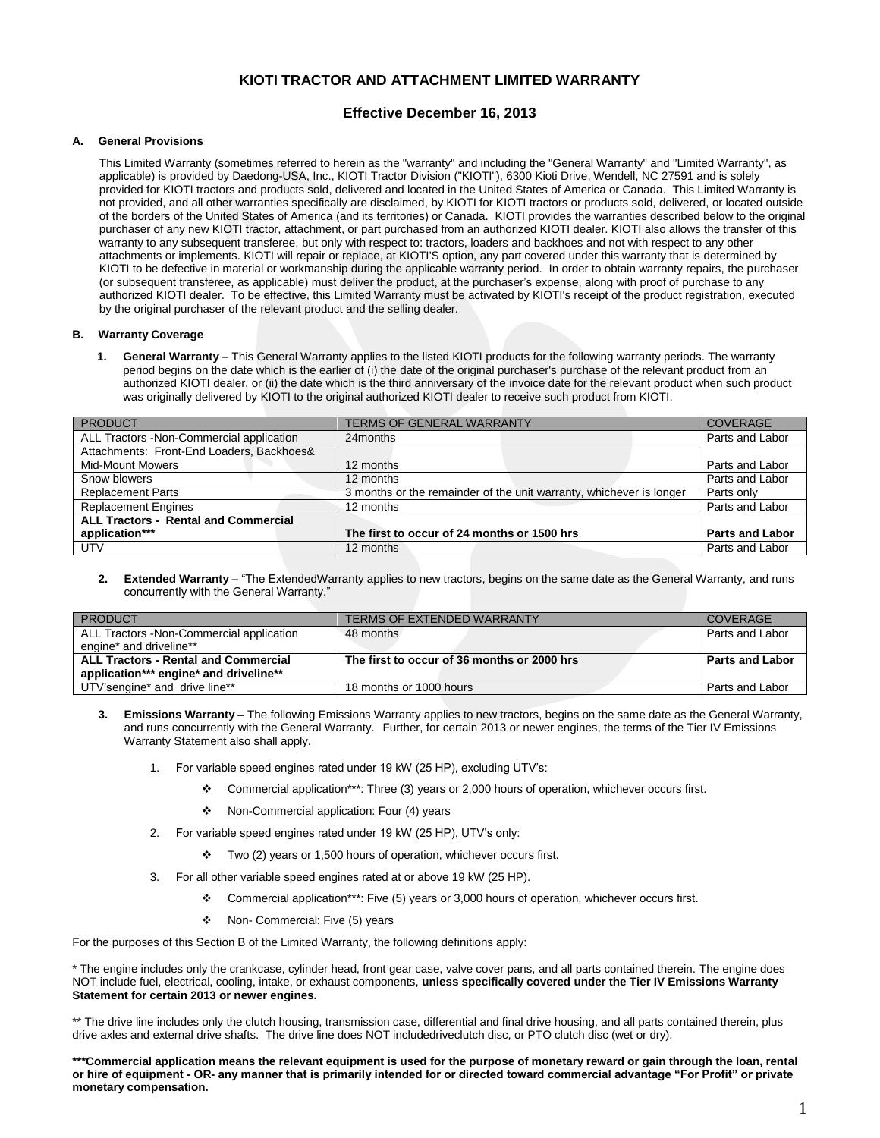# **KIOTI TRACTOR AND ATTACHMENT LIMITED WARRANTY**

# **Effective December 16, 2013**

## **A. General Provisions**

This Limited Warranty (sometimes referred to herein as the "warranty" and including the "General Warranty" and "Limited Warranty", as applicable) is provided by Daedong-USA, Inc., KIOTI Tractor Division ("KIOTI"), 6300 Kioti Drive, Wendell, NC 27591 and is solely provided for KIOTI tractors and products sold, delivered and located in the United States of America or Canada. This Limited Warranty is not provided, and all other warranties specifically are disclaimed, by KIOTI for KIOTI tractors or products sold, delivered, or located outside of the borders of the United States of America (and its territories) or Canada. KIOTI provides the warranties described below to the original purchaser of any new KIOTI tractor, attachment, or part purchased from an authorized KIOTI dealer. KIOTI also allows the transfer of this warranty to any subsequent transferee, but only with respect to: tractors, loaders and backhoes and not with respect to any other attachments or implements. KIOTI will repair or replace, at KIOTI'S option, any part covered under this warranty that is determined by KIOTI to be defective in material or workmanship during the applicable warranty period. In order to obtain warranty repairs, the purchaser (or subsequent transferee, as applicable) must deliver the product, at the purchaser's expense, along with proof of purchase to any authorized KIOTI dealer. To be effective, this Limited Warranty must be activated by KIOTI's receipt of the product registration, executed by the original purchaser of the relevant product and the selling dealer.

### **B. Warranty Coverage**

**1. General Warranty** – This General Warranty applies to the listed KIOTI products for the following warranty periods. The warranty period begins on the date which is the earlier of (i) the date of the original purchaser's purchase of the relevant product from an authorized KIOTI dealer, or (ii) the date which is the third anniversary of the invoice date for the relevant product when such product was originally delivered by KIOTI to the original authorized KIOTI dealer to receive such product from KIOTI.

| <b>PRODUCT</b>                              | <b>TERMS OF GENERAL WARRANTY</b>                                    | <b>COVERAGE</b>        |
|---------------------------------------------|---------------------------------------------------------------------|------------------------|
| ALL Tractors -Non-Commercial application    | 24months                                                            | Parts and Labor        |
| Attachments: Front-End Loaders, Backhoes&   |                                                                     |                        |
| <b>Mid-Mount Mowers</b>                     | 12 months                                                           | Parts and Labor        |
| Snow blowers                                | 12 months                                                           | Parts and Labor        |
| <b>Replacement Parts</b>                    | 3 months or the remainder of the unit warranty, whichever is longer | Parts only             |
| <b>Replacement Engines</b>                  | 12 months                                                           | Parts and Labor        |
| <b>ALL Tractors - Rental and Commercial</b> |                                                                     |                        |
| application***                              | The first to occur of 24 months or 1500 hrs                         | <b>Parts and Labor</b> |
| <b>UTV</b>                                  | 12 months                                                           | Parts and Labor        |

**2. Extended Warranty** – "The ExtendedWarranty applies to new tractors, begins on the same date as the General Warranty, and runs concurrently with the General Warranty."

| PRODUCT                                     | <b>TERMS OF EXTENDED WARRANTY</b>           | <b>COVERAGE</b>        |
|---------------------------------------------|---------------------------------------------|------------------------|
| ALL Tractors - Non-Commercial application   | 48 months                                   | Parts and Labor        |
| engine* and driveline**                     |                                             |                        |
| <b>ALL Tractors - Rental and Commercial</b> | The first to occur of 36 months or 2000 hrs | <b>Parts and Labor</b> |
| application*** engine* and driveline**      |                                             |                        |
| UTV'sengine* and drive line**               | 18 months or 1000 hours                     | Parts and Labor        |

- **3. Emissions Warranty –** The following Emissions Warranty applies to new tractors, begins on the same date as the General Warranty, and runs concurrently with the General Warranty. Further, for certain 2013 or newer engines, the terms of the Tier IV Emissions Warranty Statement also shall apply.
	- 1. For variable speed engines rated under 19 kW (25 HP), excluding UTV's:
		- Commercial application\*\*\*: Three (3) years or 2,000 hours of operation, whichever occurs first.
		- ◆ Non-Commercial application: Four (4) years
	- 2. For variable speed engines rated under 19 kW (25 HP), UTV's only:
		- \* Two (2) years or 1,500 hours of operation, whichever occurs first.
	- 3. For all other variable speed engines rated at or above 19 kW (25 HP).
		- Commercial application\*\*\*: Five (5) years or 3,000 hours of operation, whichever occurs first.
		- ◆ Non- Commercial: Five (5) years

For the purposes of this Section B of the Limited Warranty, the following definitions apply:

\* The engine includes only the crankcase, cylinder head, front gear case, valve cover pans, and all parts contained therein. The engine does NOT include fuel, electrical, cooling, intake, or exhaust components, **unless specifically covered under the Tier IV Emissions Warranty Statement for certain 2013 or newer engines.**

\*\* The drive line includes only the clutch housing, transmission case, differential and final drive housing, and all parts contained therein, plus drive axles and external drive shafts. The drive line does NOT includedriveclutch disc, or PTO clutch disc (wet or dry).

**\*\*\*Commercial application means the relevant equipment is used for the purpose of monetary reward or gain through the loan, rental or hire of equipment - OR- any manner that is primarily intended for or directed toward commercial advantage "For Profit" or private monetary compensation.**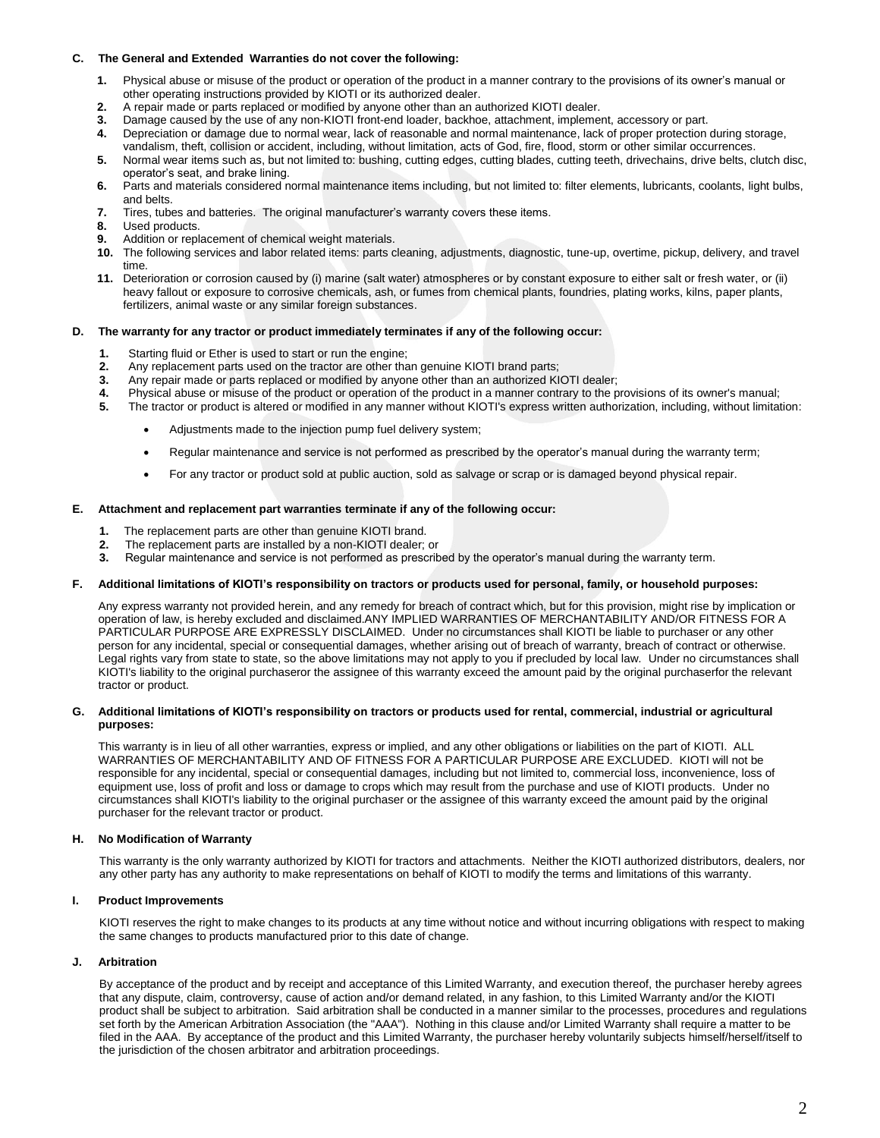## **C. The General and Extended Warranties do not cover the following:**

- **1.** Physical abuse or misuse of the product or operation of the product in a manner contrary to the provisions of its owner's manual or other operating instructions provided by KIOTI or its authorized dealer.
- **2.** A repair made or parts replaced or modified by anyone other than an authorized KIOTI dealer.
- **3.** Damage caused by the use of any non-KIOTI front-end loader, backhoe, attachment, implement, accessory or part.
- **4.** Depreciation or damage due to normal wear, lack of reasonable and normal maintenance, lack of proper protection during storage,
- vandalism, theft, collision or accident, including, without limitation, acts of God, fire, flood, storm or other similar occurrences. **5.** Normal wear items such as, but not limited to: bushing, cutting edges, cutting blades, cutting teeth, drivechains, drive belts, clutch disc, operator's seat, and brake lining.
- **6.** Parts and materials considered normal maintenance items including, but not limited to: filter elements, lubricants, coolants, light bulbs, and belts.
- **7.** Tires, tubes and batteries. The original manufacturer's warranty covers these items.
- **8.** Used products.
- **9.** Addition or replacement of chemical weight materials.
- **10.** The following services and labor related items: parts cleaning, adjustments, diagnostic, tune-up, overtime, pickup, delivery, and travel time.
- **11.** Deterioration or corrosion caused by (i) marine (salt water) atmospheres or by constant exposure to either salt or fresh water, or (ii) heavy fallout or exposure to corrosive chemicals, ash, or fumes from chemical plants, foundries, plating works, kilns, paper plants, fertilizers, animal waste or any similar foreign substances.

## **D. The warranty for any tractor or product immediately terminates if any of the following occur:**

- **1.** Starting fluid or Ether is used to start or run the engine;
- **2.** Any replacement parts used on the tractor are other than genuine KIOTI brand parts;
- **3.** Any repair made or parts replaced or modified by anyone other than an authorized KIOTI dealer;
- **4.** Physical abuse or misuse of the product or operation of the product in a manner contrary to the provisions of its owner's manual;
- **5.** The tractor or product is altered or modified in any manner without KIOTI's express written authorization, including, without limitation:
	- Adjustments made to the injection pump fuel delivery system;
	- Regular maintenance and service is not performed as prescribed by the operator's manual during the warranty term;
	- For any tractor or product sold at public auction, sold as salvage or scrap or is damaged beyond physical repair.

#### **E. Attachment and replacement part warranties terminate if any of the following occur:**

- **1.** The replacement parts are other than genuine KIOTI brand.
- **2.** The replacement parts are installed by a non-KIOTI dealer; or
- **3.** Regular maintenance and service is not performed as prescribed by the operator's manual during the warranty term.

## **F. Additional limitations of KIOTI's responsibility on tractors or products used for personal, family, or household purposes:**

Any express warranty not provided herein, and any remedy for breach of contract which, but for this provision, might rise by implication or operation of law, is hereby excluded and disclaimed.ANY IMPLIED WARRANTIES OF MERCHANTABILITY AND/OR FITNESS FOR A PARTICULAR PURPOSE ARE EXPRESSLY DISCLAIMED. Under no circumstances shall KIOTI be liable to purchaser or any other person for any incidental, special or consequential damages, whether arising out of breach of warranty, breach of contract or otherwise. Legal rights vary from state to state, so the above limitations may not apply to you if precluded by local law. Under no circumstances shall KIOTI's liability to the original purchaseror the assignee of this warranty exceed the amount paid by the original purchaserfor the relevant tractor or product.

#### **G. Additional limitations of KIOTI's responsibility on tractors or products used for rental, commercial, industrial or agricultural purposes:**

This warranty is in lieu of all other warranties, express or implied, and any other obligations or liabilities on the part of KIOTI. ALL WARRANTIES OF MERCHANTABILITY AND OF FITNESS FOR A PARTICULAR PURPOSE ARE EXCLUDED. KIOTI will not be responsible for any incidental, special or consequential damages, including but not limited to, commercial loss, inconvenience, loss of equipment use, loss of profit and loss or damage to crops which may result from the purchase and use of KIOTI products. Under no circumstances shall KIOTI's liability to the original purchaser or the assignee of this warranty exceed the amount paid by the original purchaser for the relevant tractor or product.

#### **H. No Modification of Warranty**

This warranty is the only warranty authorized by KIOTI for tractors and attachments. Neither the KIOTI authorized distributors, dealers, nor any other party has any authority to make representations on behalf of KIOTI to modify the terms and limitations of this warranty.

#### **I. Product Improvements**

KIOTI reserves the right to make changes to its products at any time without notice and without incurring obligations with respect to making the same changes to products manufactured prior to this date of change.

#### **J. Arbitration**

By acceptance of the product and by receipt and acceptance of this Limited Warranty, and execution thereof, the purchaser hereby agrees that any dispute, claim, controversy, cause of action and/or demand related, in any fashion, to this Limited Warranty and/or the KIOTI product shall be subject to arbitration. Said arbitration shall be conducted in a manner similar to the processes, procedures and regulations set forth by the American Arbitration Association (the "AAA"). Nothing in this clause and/or Limited Warranty shall require a matter to be filed in the AAA. By acceptance of the product and this Limited Warranty, the purchaser hereby voluntarily subjects himself/herself/itself to the jurisdiction of the chosen arbitrator and arbitration proceedings.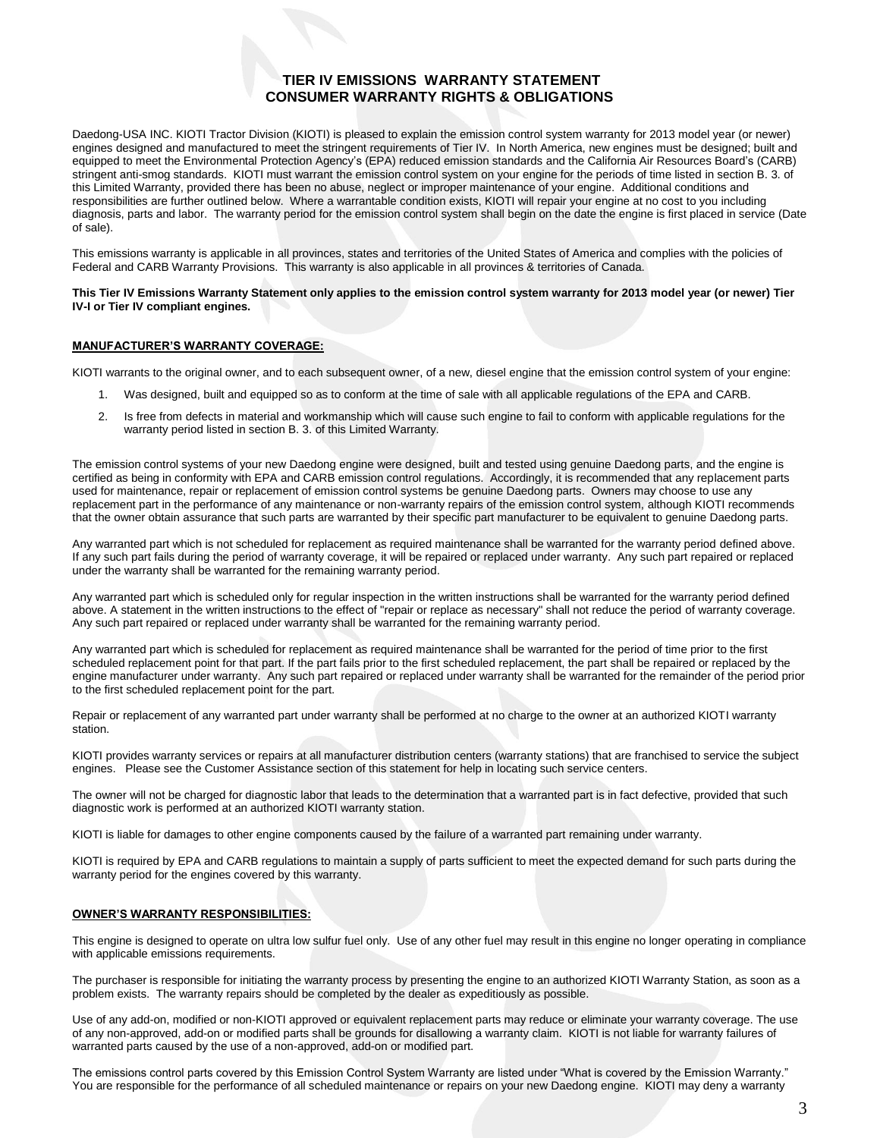# **TIER IV EMISSIONS WARRANTY STATEMENT CONSUMER WARRANTY RIGHTS & OBLIGATIONS**

Daedong-USA INC. KIOTI Tractor Division (KIOTI) is pleased to explain the emission control system warranty for 2013 model year (or newer) engines designed and manufactured to meet the stringent requirements of Tier IV. In North America, new engines must be designed; built and equipped to meet the Environmental Protection Agency's (EPA) reduced emission standards and the California Air Resources Board's (CARB) stringent anti-smog standards. KIOTI must warrant the emission control system on your engine for the periods of time listed in section B. 3. of this Limited Warranty, provided there has been no abuse, neglect or improper maintenance of your engine. Additional conditions and responsibilities are further outlined below. Where a warrantable condition exists, KIOTI will repair your engine at no cost to you including diagnosis, parts and labor. The warranty period for the emission control system shall begin on the date the engine is first placed in service (Date of sale).

This emissions warranty is applicable in all provinces, states and territories of the United States of America and complies with the policies of Federal and CARB Warranty Provisions. This warranty is also applicable in all provinces & territories of Canada.

## **This Tier IV Emissions Warranty Statement only applies to the emission control system warranty for 2013 model year (or newer) Tier IV-I or Tier IV compliant engines.**

## **MANUFACTURER'S WARRANTY COVERAGE:**

KIOTI warrants to the original owner, and to each subsequent owner, of a new, diesel engine that the emission control system of your engine:

- 1. Was designed, built and equipped so as to conform at the time of sale with all applicable regulations of the EPA and CARB.
- 2. Is free from defects in material and workmanship which will cause such engine to fail to conform with applicable regulations for the warranty period listed in section B. 3. of this Limited Warranty.

The emission control systems of your new Daedong engine were designed, built and tested using genuine Daedong parts, and the engine is certified as being in conformity with EPA and CARB emission control regulations. Accordingly, it is recommended that any replacement parts used for maintenance, repair or replacement of emission control systems be genuine Daedong parts. Owners may choose to use any replacement part in the performance of any maintenance or non-warranty repairs of the emission control system, although KIOTI recommends that the owner obtain assurance that such parts are warranted by their specific part manufacturer to be equivalent to genuine Daedong parts.

Any warranted part which is not scheduled for replacement as required maintenance shall be warranted for the warranty period defined above. If any such part fails during the period of warranty coverage, it will be repaired or replaced under warranty. Any such part repaired or replaced under the warranty shall be warranted for the remaining warranty period.

Any warranted part which is scheduled only for regular inspection in the written instructions shall be warranted for the warranty period defined above. A statement in the written instructions to the effect of "repair or replace as necessary" shall not reduce the period of warranty coverage. Any such part repaired or replaced under warranty shall be warranted for the remaining warranty period.

Any warranted part which is scheduled for replacement as required maintenance shall be warranted for the period of time prior to the first scheduled replacement point for that part. If the part fails prior to the first scheduled replacement, the part shall be repaired or replaced by the engine manufacturer under warranty. Any such part repaired or replaced under warranty shall be warranted for the remainder of the period prior to the first scheduled replacement point for the part.

Repair or replacement of any warranted part under warranty shall be performed at no charge to the owner at an authorized KIOTI warranty station.

KIOTI provides warranty services or repairs at all manufacturer distribution centers (warranty stations) that are franchised to service the subject engines. Please see the Customer Assistance section of this statement for help in locating such service centers.

The owner will not be charged for diagnostic labor that leads to the determination that a warranted part is in fact defective, provided that such diagnostic work is performed at an authorized KIOTI warranty station.

KIOTI is liable for damages to other engine components caused by the failure of a warranted part remaining under warranty.

KIOTI is required by EPA and CARB regulations to maintain a supply of parts sufficient to meet the expected demand for such parts during the warranty period for the engines covered by this warranty.

#### **OWNER'S WARRANTY RESPONSIBILITIES:**

This engine is designed to operate on ultra low sulfur fuel only. Use of any other fuel may result in this engine no longer operating in compliance with applicable emissions requirements.

The purchaser is responsible for initiating the warranty process by presenting the engine to an authorized KIOTI Warranty Station, as soon as a problem exists. The warranty repairs should be completed by the dealer as expeditiously as possible.

Use of any add-on, modified or non-KIOTI approved or equivalent replacement parts may reduce or eliminate your warranty coverage. The use of any non-approved, add-on or modified parts shall be grounds for disallowing a warranty claim. KIOTI is not liable for warranty failures of warranted parts caused by the use of a non-approved, add-on or modified part.

The emissions control parts covered by this Emission Control System Warranty are listed under "What is covered by the Emission Warranty." You are responsible for the performance of all scheduled maintenance or repairs on your new Daedong engine. KIOTI may deny a warranty